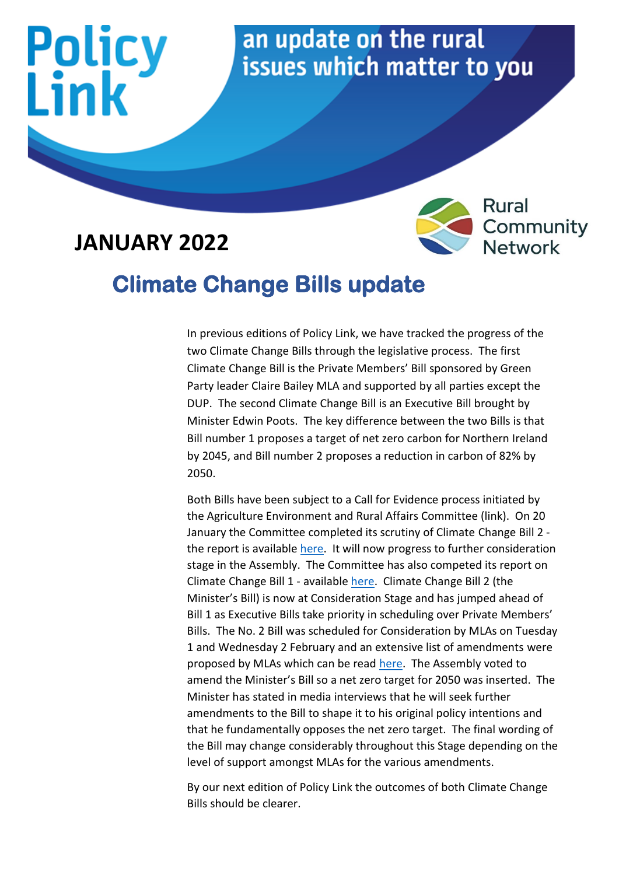

#### **JANUARY 2022**



#### **Climate Change Bills update**

In previous editions of Policy Link, we have tracked the progress of the two Climate Change Bills through the legislative process. The first Climate Change Bill is the Private Members' Bill sponsored by Green Party leader Claire Bailey MLA and supported by all parties except the DUP. The second Climate Change Bill is an Executive Bill brought by Minister Edwin Poots. The key difference between the two Bills is that Bill number 1 proposes a target of net zero carbon for Northern Ireland by 2045, and Bill number 2 proposes a reduction in carbon of 82% by 2050.

Both Bills have been subject to a Call for Evidence process initiated by the Agriculture Environment and Rural Affairs Committee (link). On 20 January the Committee completed its scrutiny of Climate Change Bill 2 the report is available [here.](http://www.niassembly.gov.uk/assembly-business/committees/2017-2022/agriculture-environment-and-rural-affairs/reports/report-on-the-climate-change-no.2-bill/#executive-summary) It will now progress to further consideration stage in the Assembly. The Committee has also competed its report on Climate Change Bill 1 - availabl[e here.](http://www.niassembly.gov.uk/assembly-business/committees/2017-2022/agriculture-environment-and-rural-affairs/reports/report-on-the-climate-change-bill/) Climate Change Bill 2 (the Minister's Bill) is now at Consideration Stage and has jumped ahead of Bill 1 as Executive Bills take priority in scheduling over Private Members' Bills. The No. 2 Bill was scheduled for Consideration by MLAs on Tuesday 1 and Wednesday 2 February and an extensive list of amendments were proposed by MLAs which can be read [here.](http://www.niassembly.gov.uk/assembly-business/legislation/2017-2022-mandate/primary-legislation---bills-2017---2022-mandate/climate-change-bill/) The Assembly voted to amend the Minister's Bill so a net zero target for 2050 was inserted. The Minister has stated in media interviews that he will seek further amendments to the Bill to shape it to his original policy intentions and that he fundamentally opposes the net zero target. The final wording of the Bill may change considerably throughout this Stage depending on the level of support amongst MLAs for the various amendments.

By our next edition of Policy Link the outcomes of both Climate Change Bills should be clearer.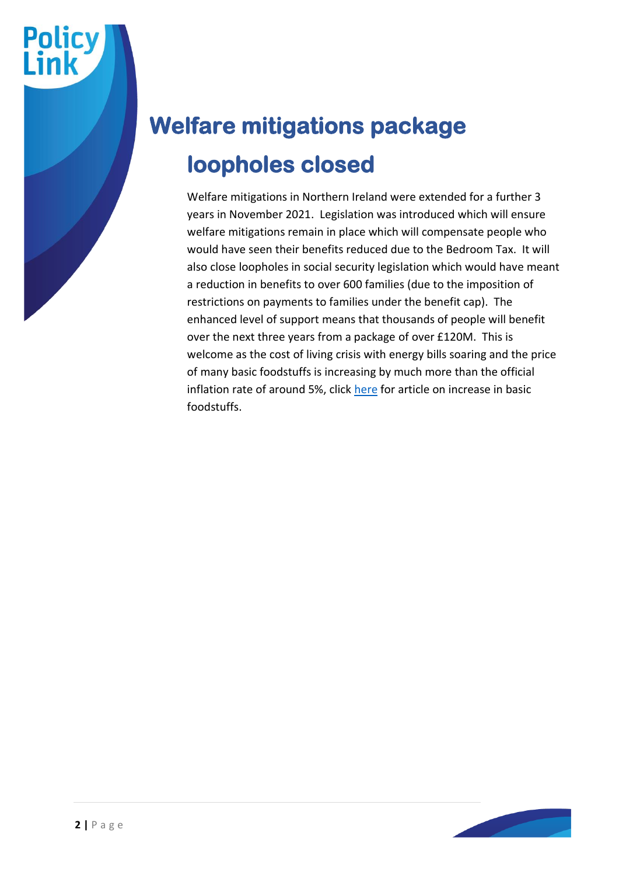

Welfare mitigations in Northern Ireland were extended for a further 3 years in November 2021. Legislation was introduced which will ensure welfare mitigations remain in place which will compensate people who would have seen their benefits reduced due to the Bedroom Tax. It will also close loopholes in social security legislation which would have meant a reduction in benefits to over 600 families (due to the imposition of restrictions on payments to families under the benefit cap). The enhanced level of support means that thousands of people will benefit over the next three years from a package of over £120M. This is welcome as the cost of living crisis with energy bills soaring and the price of many basic foodstuffs is increasing by much more than the official inflation rate of around 5%, click [here](https://www.bbc.co.uk/news/business-60140858) for article on increase in basic foodstuffs.

**Policy**<br>Link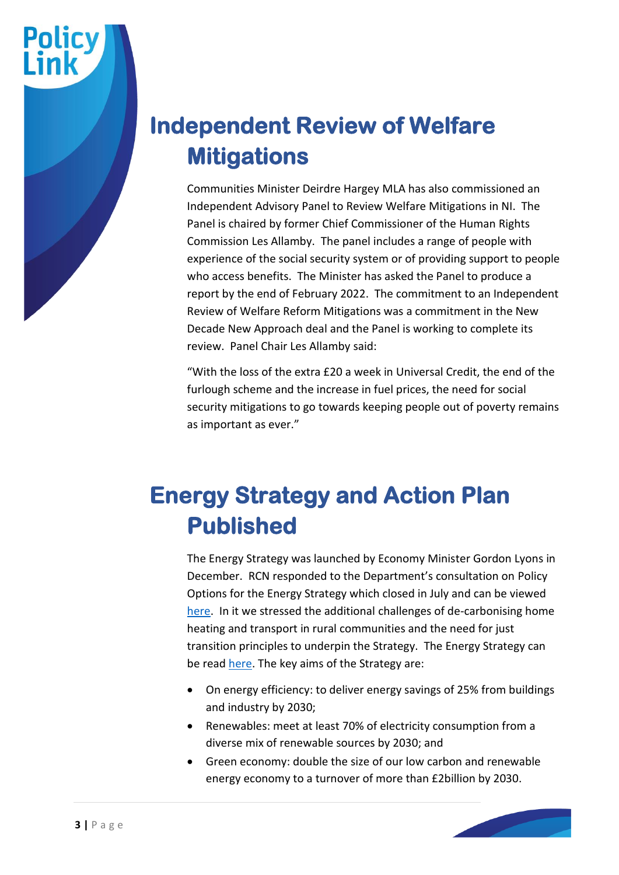

Communities Minister Deirdre Hargey MLA has also commissioned an Independent Advisory Panel to Review Welfare Mitigations in NI. The Panel is chaired by former Chief Commissioner of the Human Rights Commission Les Allamby. The panel includes a range of people with experience of the social security system or of providing support to people who access benefits. The Minister has asked the Panel to produce a report by the end of February 2022. The commitment to an Independent Review of Welfare Reform Mitigations was a commitment in the New Decade New Approach deal and the Panel is working to complete its review. Panel Chair Les Allamby said:

"With the loss of the extra £20 a week in Universal Credit, the end of the furlough scheme and the increase in fuel prices, the need for social security mitigations to go towards keeping people out of poverty remains as important as ever."

#### **Energy Strategy and Action Plan Published**

The Energy Strategy was launched by Economy Minister Gordon Lyons in December. RCN responded to the Department's consultation on Policy Options for the Energy Strategy which closed in July and can be viewed [here.](https://www.ruralcommunitynetwork.org/app/uploads/2021/07/RCN-response-to-Energy-Strategy-Consultation-June-2021-final.pdf) In it we stressed the additional challenges of de-carbonising home heating and transport in rural communities and the need for just transition principles to underpin the Strategy. The Energy Strategy can be read [here.](https://www.economy-ni.gov.uk/topics/energy/energy-strategy) The key aims of the Strategy are:

- On energy efficiency: to deliver energy savings of 25% from buildings and industry by 2030;
- Renewables: meet at least 70% of electricity consumption from a diverse mix of renewable sources by 2030; and
- Green economy: double the size of our low carbon and renewable energy economy to a turnover of more than £2billion by 2030.

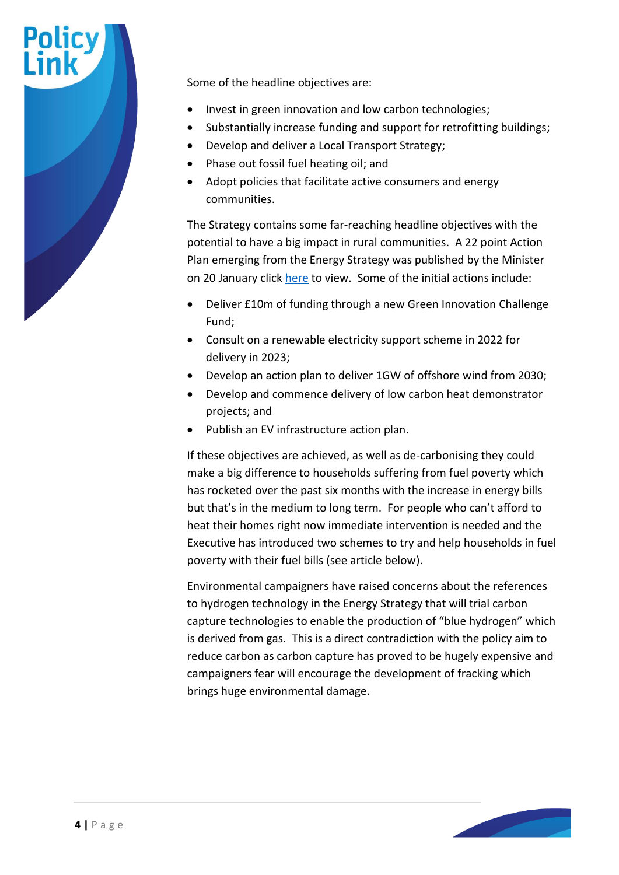

- Invest in green innovation and low carbon technologies;
- Substantially increase funding and support for retrofitting buildings;
- Develop and deliver a Local Transport Strategy;
- Phase out fossil fuel heating oil; and
- Adopt policies that facilitate active consumers and energy communities.

The Strategy contains some far-reaching headline objectives with the potential to have a big impact in rural communities. A 22 point Action Plan emerging from the Energy Strategy was published by the Minister on 20 January click [here](https://www.economy-ni.gov.uk/publications/energy-strategy-path-net-zero-energy-action-plan) to view. Some of the initial actions include:

- Deliver £10m of funding through a new Green Innovation Challenge Fund;
- Consult on a renewable electricity support scheme in 2022 for delivery in 2023;
- Develop an action plan to deliver 1GW of offshore wind from 2030;
- Develop and commence delivery of low carbon heat demonstrator projects; and
- Publish an EV infrastructure action plan.

If these objectives are achieved, as well as de-carbonising they could make a big difference to households suffering from fuel poverty which has rocketed over the past six months with the increase in energy bills but that's in the medium to long term. For people who can't afford to heat their homes right now immediate intervention is needed and the Executive has introduced two schemes to try and help households in fuel poverty with their fuel bills (see article below).

Environmental campaigners have raised concerns about the references to hydrogen technology in the Energy Strategy that will trial carbon capture technologies to enable the production of "blue hydrogen" which is derived from gas. This is a direct contradiction with the policy aim to reduce carbon as carbon capture has proved to be hugely expensive and campaigners fear will encourage the development of fracking which brings huge environmental damage.

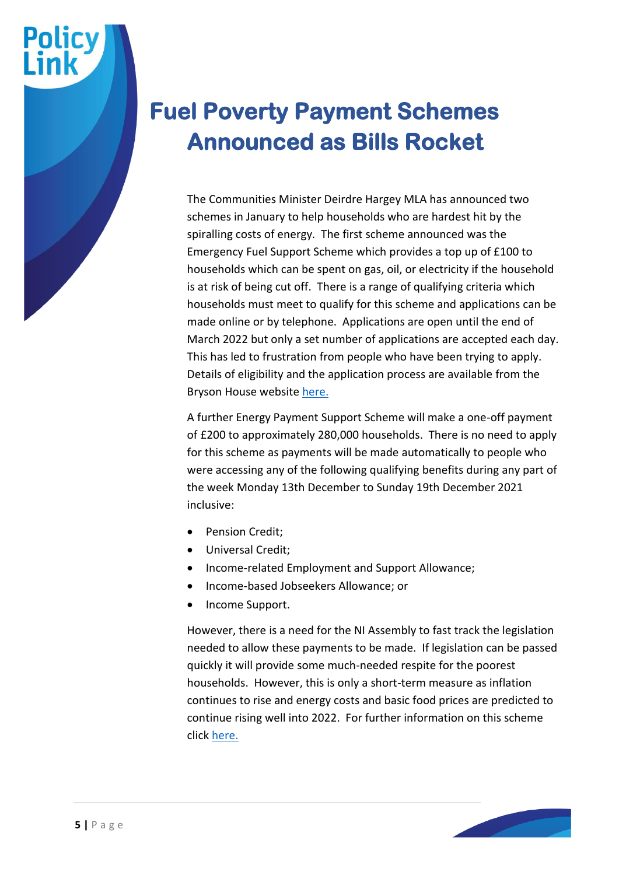#### **Fuel Poverty Payment Schemes Announced as Bills Rocket**

The Communities Minister Deirdre Hargey MLA has announced two schemes in January to help households who are hardest hit by the spiralling costs of energy. The first scheme announced was the Emergency Fuel Support Scheme which provides a top up of £100 to households which can be spent on gas, oil, or electricity if the household is at risk of being cut off. There is a range of qualifying criteria which households must meet to qualify for this scheme and applications can be made online or by telephone. Applications are open until the end of March 2022 but only a set number of applications are accepted each day. This has led to frustration from people who have been trying to apply. Details of eligibility and the application process are available from the Bryson House websit[e here.](https://www.brysongroup.org/news/emergency-fuel-payment-scheme)

A further Energy Payment Support Scheme will make a one-off payment of £200 to approximately 280,000 households. There is no need to apply for this scheme as payments will be made automatically to people who were accessing any of the following qualifying benefits during any part of the week Monday 13th December to Sunday 19th December 2021 inclusive:

- Pension Credit;
- Universal Credit;
- Income-related Employment and Support Allowance;
- Income-based Jobseekers Allowance; or
- Income Support.

However, there is a need for the NI Assembly to fast track the legislation needed to allow these payments to be made. If legislation can be passed quickly it will provide some much-needed respite for the poorest households. However, this is only a short-term measure as inflation continues to rise and energy costs and basic food prices are predicted to continue rising well into 2022. For further information on this scheme click [here.](https://www.nidirect.gov.uk/articles/energy-costs-support-schemes)

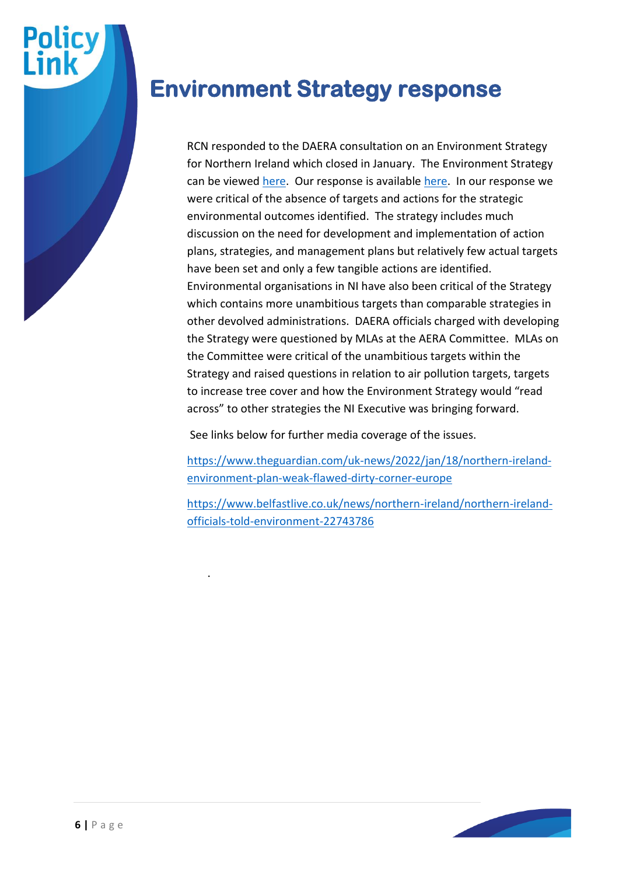

#### **Environment Strategy response**

RCN responded to the DAERA consultation on an Environment Strategy for Northern Ireland which closed in January. The Environment Strategy can be viewed [here.](https://www.daera-ni.gov.uk/sites/default/files/consultations/daera/Draft%20Environment%20Strategy.PDF) Our response is available [here.](https://www.ruralcommunitynetwork.org/app/uploads/2022/01/RCN-response-to-Environment-Strategy-NI-consultation-2021-final.pdf) In our response we were critical of the absence of targets and actions for the strategic environmental outcomes identified. The strategy includes much discussion on the need for development and implementation of action plans, strategies, and management plans but relatively few actual targets have been set and only a few tangible actions are identified. Environmental organisations in NI have also been critical of the Strategy which contains more unambitious targets than comparable strategies in other devolved administrations. DAERA officials charged with developing the Strategy were questioned by MLAs at the AERA Committee. MLAs on the Committee were critical of the unambitious targets within the Strategy and raised questions in relation to air pollution targets, targets to increase tree cover and how the Environment Strategy would "read across" to other strategies the NI Executive was bringing forward.

See links below for further media coverage of the issues.

.

[https://www.theguardian.com/uk-news/2022/jan/18/northern-ireland](https://www.theguardian.com/uk-news/2022/jan/18/northern-ireland-environment-plan-weak-flawed-dirty-corner-europe)[environment-plan-weak-flawed-dirty-corner-europe](https://www.theguardian.com/uk-news/2022/jan/18/northern-ireland-environment-plan-weak-flawed-dirty-corner-europe)

[https://www.belfastlive.co.uk/news/northern-ireland/northern-ireland](https://www.belfastlive.co.uk/news/northern-ireland/northern-ireland-officials-told-environment-22743786)[officials-told-environment-22743786](https://www.belfastlive.co.uk/news/northern-ireland/northern-ireland-officials-told-environment-22743786)

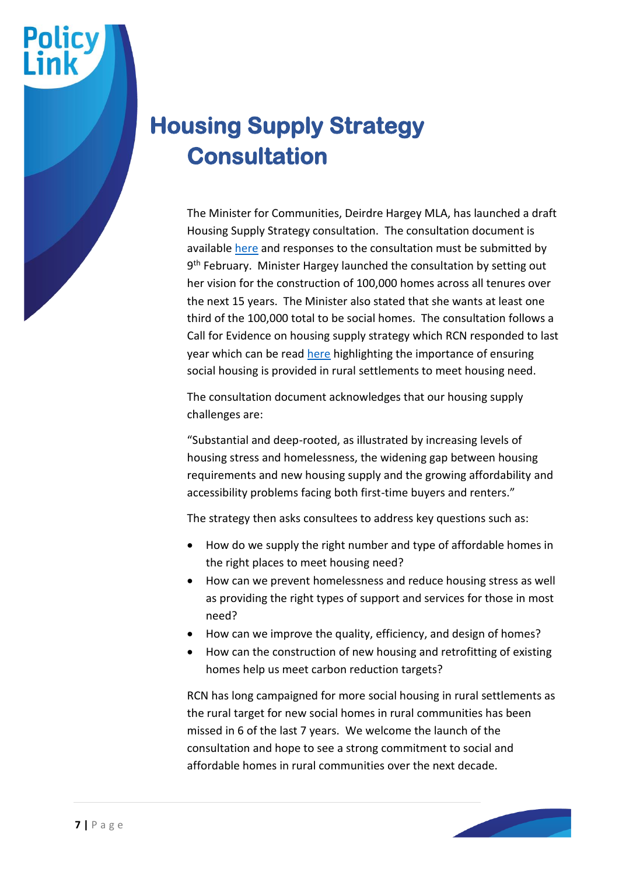# **Housing Supply Strategy Consultation**

The Minister for Communities, Deirdre Hargey MLA, has launched a draft Housing Supply Strategy consultation. The consultation document is available [here](https://www.communities-ni.gov.uk/consultations/consultation-new-housing-supply-strategy) and responses to the consultation must be submitted by 9<sup>th</sup> February. Minister Hargey launched the consultation by setting out her vision for the construction of 100,000 homes across all tenures over the next 15 years. The Minister also stated that she wants at least one third of the 100,000 total to be social homes. The consultation follows a Call for Evidence on housing supply strategy which RCN responded to last year which can be read [here](https://www.ruralcommunitynetwork.org/app/uploads/2021/07/Housing-Supply-Strategy-Call-for-Evidence-RRF-final-response.pdf) highlighting the importance of ensuring social housing is provided in rural settlements to meet housing need.

The consultation document acknowledges that our housing supply challenges are:

"Substantial and deep-rooted, as illustrated by increasing levels of housing stress and homelessness, the widening gap between housing requirements and new housing supply and the growing affordability and accessibility problems facing both first-time buyers and renters."

The strategy then asks consultees to address key questions such as:

- How do we supply the right number and type of affordable homes in the right places to meet housing need?
- How can we prevent homelessness and reduce housing stress as well as providing the right types of support and services for those in most need?
- How can we improve the quality, efficiency, and design of homes?
- How can the construction of new housing and retrofitting of existing homes help us meet carbon reduction targets?

RCN has long campaigned for more social housing in rural settlements as the rural target for new social homes in rural communities has been missed in 6 of the last 7 years. We welcome the launch of the consultation and hope to see a strong commitment to social and affordable homes in rural communities over the next decade.

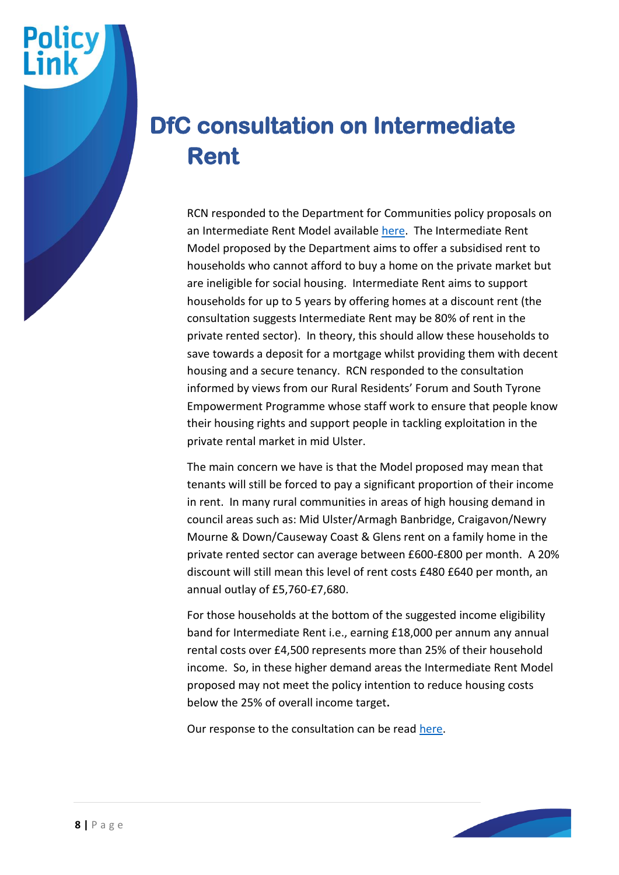#### **DfC consultation on Intermediate Rent**

RCN responded to the Department for Communities policy proposals on an Intermediate Rent Model available [here.](https://www.communities-ni.gov.uk/sites/default/files/consultations/communities/Consultation%20on%20Intermediate%20Rent%20Development%20of%20Policy%20and%20Model.pdf) The Intermediate Rent Model proposed by the Department aims to offer a subsidised rent to households who cannot afford to buy a home on the private market but are ineligible for social housing. Intermediate Rent aims to support households for up to 5 years by offering homes at a discount rent (the consultation suggests Intermediate Rent may be 80% of rent in the private rented sector). In theory, this should allow these households to save towards a deposit for a mortgage whilst providing them with decent housing and a secure tenancy. RCN responded to the consultation informed by views from our Rural Residents' Forum and South Tyrone Empowerment Programme whose staff work to ensure that people know their housing rights and support people in tackling exploitation in the private rental market in mid Ulster.

The main concern we have is that the Model proposed may mean that tenants will still be forced to pay a significant proportion of their income in rent. In many rural communities in areas of high housing demand in council areas such as: Mid Ulster/Armagh Banbridge, Craigavon/Newry Mourne & Down/Causeway Coast & Glens rent on a family home in the private rented sector can average between £600-£800 per month. A 20% discount will still mean this level of rent costs £480 £640 per month, an annual outlay of £5,760-£7,680.

For those households at the bottom of the suggested income eligibility band for Intermediate Rent i.e., earning £18,000 per annum any annual rental costs over £4,500 represents more than 25% of their household income. So, in these higher demand areas the Intermediate Rent Model proposed may not meet the policy intention to reduce housing costs below the 25% of overall income target**.** 

Our response to the consultation can be read [here.](https://www.ruralcommunitynetwork.org/app/uploads/2022/01/DfC-Consultation-on-Intermediate-Rent-Questionnaire-RRF-response-final-draft-002.pdf)

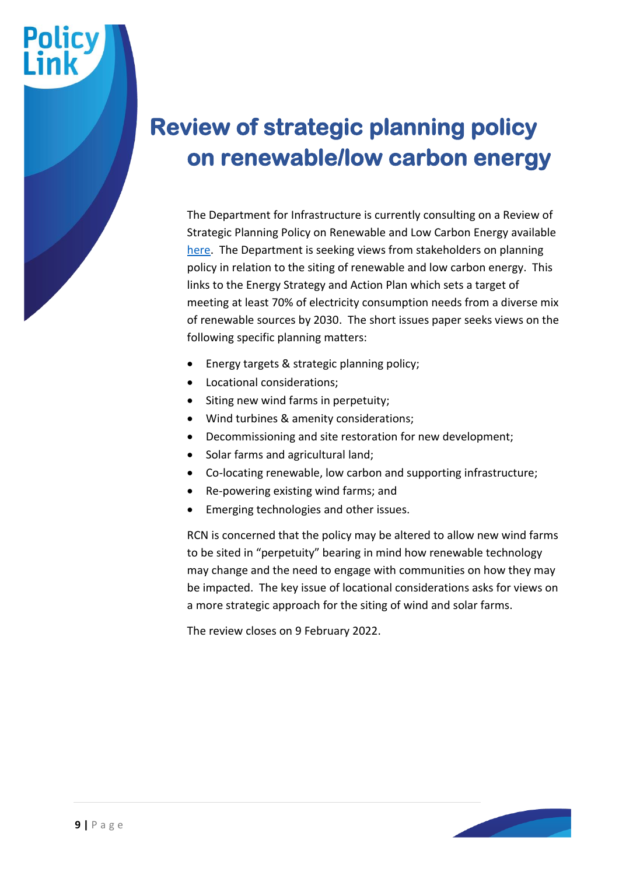#### **Review of strategic planning policy on renewable/low carbon energy**

The Department for Infrastructure is currently consulting on a Review of Strategic Planning Policy on Renewable and Low Carbon Energy available [here.](https://www.infrastructure-ni.gov.uk/consultations/review-strategic-planning-policy-renewable-and-low-carbon-energy-issues-paper) The Department is seeking views from stakeholders on planning policy in relation to the siting of renewable and low carbon energy. This links to the Energy Strategy and Action Plan which sets a target of meeting at least 70% of electricity consumption needs from a diverse mix of renewable sources by 2030. The short issues paper seeks views on the following specific planning matters:

- Energy targets & strategic planning policy;
- Locational considerations;
- Siting new wind farms in perpetuity;
- Wind turbines & amenity considerations;
- Decommissioning and site restoration for new development;
- Solar farms and agricultural land;
- Co-locating renewable, low carbon and supporting infrastructure;
- Re-powering existing wind farms; and
- Emerging technologies and other issues.

RCN is concerned that the policy may be altered to allow new wind farms to be sited in "perpetuity" bearing in mind how renewable technology may change and the need to engage with communities on how they may be impacted. The key issue of locational considerations asks for views on a more strategic approach for the siting of wind and solar farms.

The review closes on 9 February 2022.

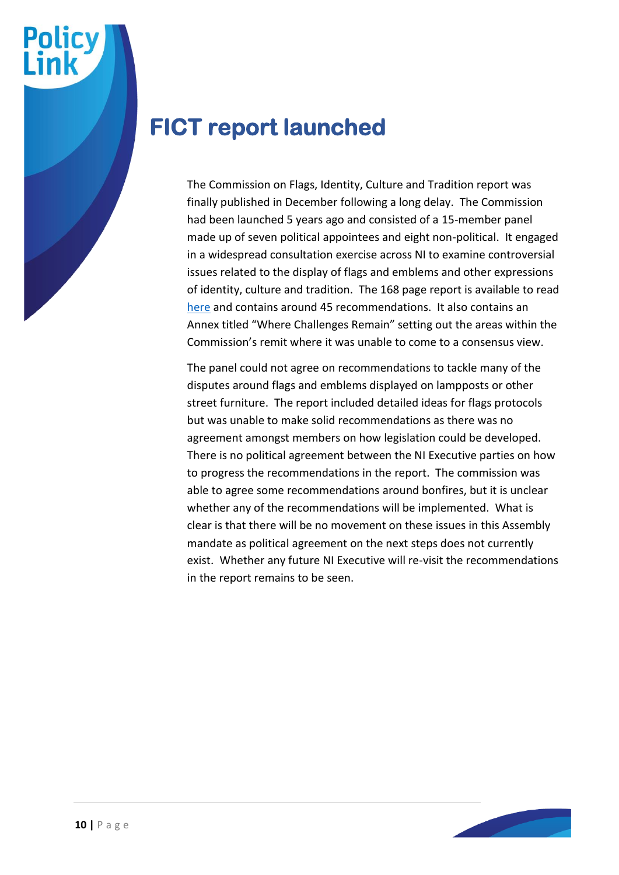

#### **FICT report launched**

The Commission on Flags, Identity, Culture and Tradition report was finally published in December following a long delay. The Commission had been launched 5 years ago and consisted of a 15-member panel made up of seven political appointees and eight non-political. It engaged in a widespread consultation exercise across NI to examine controversial issues related to the display of flags and emblems and other expressions of identity, culture and tradition. The 168 page report is available to read [here](https://www.executiveoffice-ni.gov.uk/publications/commission-flags-identity-culture-and-tradition-final-report) and contains around 45 recommendations. It also contains an Annex titled "Where Challenges Remain" setting out the areas within the Commission's remit where it was unable to come to a consensus view.

The panel could not agree on recommendations to tackle many of the disputes around flags and emblems displayed on lampposts or other street furniture. The report included detailed ideas for flags protocols but was unable to make solid recommendations as there was no agreement amongst members on how legislation could be developed. There is no political agreement between the NI Executive parties on how to progress the recommendations in the report. The commission was able to agree some recommendations around bonfires, but it is unclear whether any of the recommendations will be implemented. What is clear is that there will be no movement on these issues in this Assembly mandate as political agreement on the next steps does not currently exist. Whether any future NI Executive will re-visit the recommendations in the report remains to be seen.

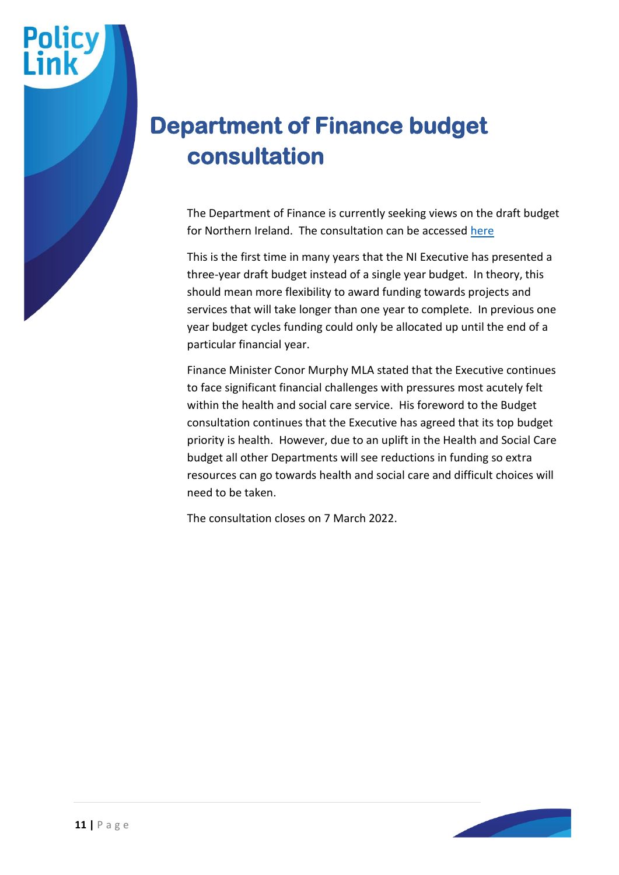# **Department of Finance budget consultation**

The Department of Finance is currently seeking views on the draft budget for Northern Ireland. The consultation can be accessed [here](https://www.finance-ni.gov.uk/budget-consultation)

This is the first time in many years that the NI Executive has presented a three-year draft budget instead of a single year budget. In theory, this should mean more flexibility to award funding towards projects and services that will take longer than one year to complete. In previous one year budget cycles funding could only be allocated up until the end of a particular financial year.

Finance Minister Conor Murphy MLA stated that the Executive continues to face significant financial challenges with pressures most acutely felt within the health and social care service. His foreword to the Budget consultation continues that the Executive has agreed that its top budget priority is health. However, due to an uplift in the Health and Social Care budget all other Departments will see reductions in funding so extra resources can go towards health and social care and difficult choices will need to be taken.

The consultation closes on 7 March 2022.

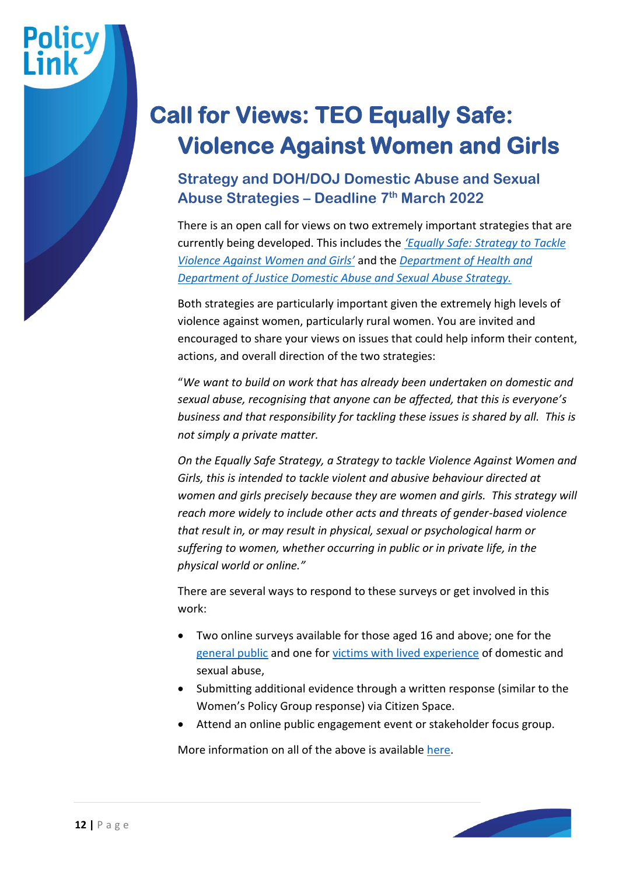# **Call for Views: TEO Equally Safe: Violence Against Women and Girls**

#### **Strategy and DOH/DOJ Domestic Abuse and Sexual Abuse Strategies – Deadline 7th March 2022**

There is an open call for views on two extremely important strategies that are currently being developed. This includes the *['Equally Safe: Strategy to Tackle](https://www.executiveoffice-ni.gov.uk/consultations/call-views-relation-development-strategy-tackle-violence-against-women-and-girls)  [Violence Against Women and Girls'](https://www.executiveoffice-ni.gov.uk/consultations/call-views-relation-development-strategy-tackle-violence-against-women-and-girls)* and the *[Department of Health and](https://www.justice-ni.gov.uk/consultations/call-views-domestic-and-sexual-abuse-strategy-and-violence-against-women-and-girls-strategy)  [Department of Justice Domestic Abuse and Sexual Abuse Strategy.](https://www.justice-ni.gov.uk/consultations/call-views-domestic-and-sexual-abuse-strategy-and-violence-against-women-and-girls-strategy)*

Both strategies are particularly important given the extremely high levels of violence against women, particularly rural women. You are invited and encouraged to share your views on issues that could help inform their content, actions, and overall direction of the two strategies:

"*We want to build on work that has already been undertaken on domestic and sexual abuse, recognising that anyone can be affected, that this is everyone's business and that responsibility for tackling these issues is shared by all. This is not simply a private matter.*

*On the Equally Safe Strategy, a Strategy to tackle Violence Against Women and Girls, this is intended to tackle violent and abusive behaviour directed at women and girls precisely because they are women and girls. This strategy will reach more widely to include other acts and threats of gender-based violence that result in, or may result in physical, sexual or psychological harm or suffering to women, whether occurring in public or in private life, in the physical world or online."*

There are several ways to respond to these surveys or get involved in this work:

- Two online surveys available for those aged 16 and above; one for the [general public](https://consultations.nidirect.gov.uk/doj/call-for-views-domestic-sexual-abuse-public-survey) and one for [victims with lived experience](https://consultations.nidirect.gov.uk/doj/call-for-views-domestic-sexual-abuse-victim-survey) of domestic and sexual abuse,
- Submitting additional evidence through a written response (similar to the Women's Policy Group response) via Citizen Space.
- Attend an online public engagement event or stakeholder focus group.

More information on all of the above is availabl[e here.](https://www.justice-ni.gov.uk/consultations/call-views-domestic-and-sexual-abuse-strategy-and-violence-against-women-and-girls-strategy)

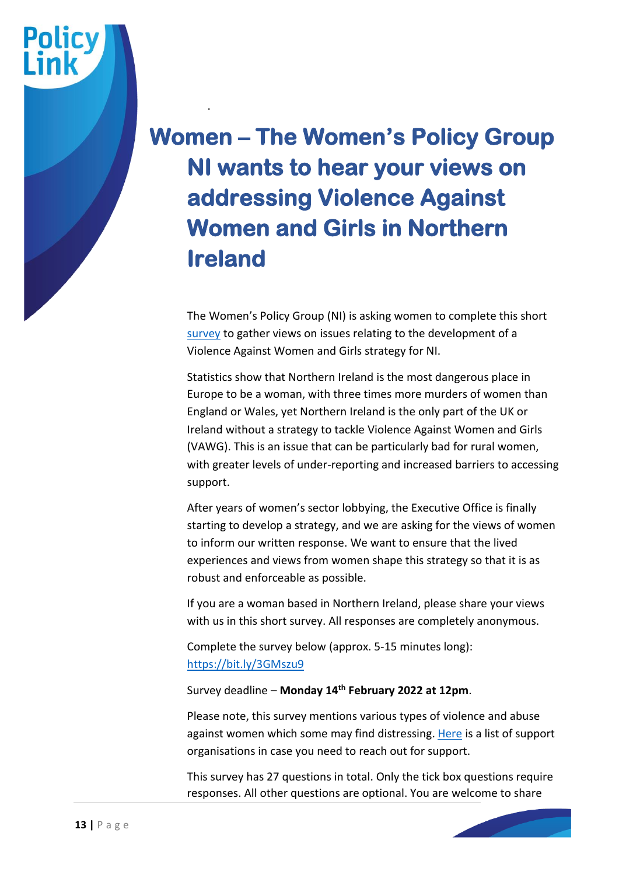# **Women – The Women's Policy Group NI wants to hear your views on addressing Violence Against Women and Girls in Northern Ireland**

.

**Policy** 

The Women's Policy Group (NI) is asking women to complete this short [survey](https://bit.ly/3GMszu9) to gather views on issues relating to the development of a Violence Against Women and Girls strategy for NI.

Statistics show that Northern Ireland is the most dangerous place in Europe to be a woman, with three times more murders of women than England or Wales, yet Northern Ireland is the only part of the UK or Ireland without a strategy to tackle Violence Against Women and Girls (VAWG). This is an issue that can be particularly bad for rural women, with greater levels of under-reporting and increased barriers to accessing support.

After years of women's sector lobbying, the Executive Office is finally starting to develop a strategy, and we are asking for the views of women to inform our written response. We want to ensure that the lived experiences and views from women shape this strategy so that it is as robust and enforceable as possible.

If you are a woman based in Northern Ireland, please share your views with us in this short survey. All responses are completely anonymous.

Complete the survey below (approx. 5-15 minutes long): <https://bit.ly/3GMszu9>

#### Survey deadline – **Monday 14th February 2022 at 12pm**.

Please note, this survey mentions various types of violence and abuse against women which some may find distressing. [Here](https://www.raiseyourvoice.community/helpadvice) is a list of support organisations in case you need to reach out for support.

This survey has 27 questions in total. Only the tick box questions require responses. All other questions are optional. You are welcome to share